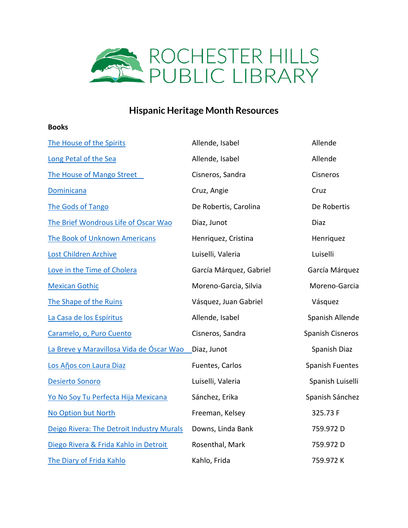

## **Hispanic Heritage Month Resources**

## **Books**

| The House of the Spirits                  | Allende, Isabel         | Allende          |
|-------------------------------------------|-------------------------|------------------|
| Long Petal of the Sea                     | Allende, Isabel         | Allende          |
| The House of Mango Street                 | Cisneros, Sandra        | Cisneros         |
| Dominicana                                | Cruz, Angie             | Cruz             |
| The Gods of Tango                         | De Robertis, Carolina   | De Robertis      |
| The Brief Wondrous Life of Oscar Wao      | Diaz, Junot             | Diaz             |
| <b>The Book of Unknown Americans</b>      | Henriquez, Cristina     | Henriquez        |
| Lost Children Archive                     | Luiselli, Valeria       | Luiselli         |
| Love in the Time of Cholera               | García Márquez, Gabriel | García Márquez   |
| <b>Mexican Gothic</b>                     | Moreno-Garcia, Silvia   | Moreno-Garcia    |
| The Shape of the Ruins                    | Vásquez, Juan Gabriel   | Vásquez          |
| La Casa de los Espíritus                  | Allende, Isabel         | Spanish Allende  |
| Caramelo, o, Puro Cuento                  | Cisneros, Sandra        | Spanish Cisneros |
| La Breve y Maravillosa Vida de Óscar Wao  | Diaz, Junot             | Spanish Diaz     |
| Los Años con Laura Diaz                   | Fuentes, Carlos         | Spanish Fuentes  |
| Desierto Sonoro                           | Luiselli, Valeria       | Spanish Luiselli |
| Yo No Soy Tu Perfecta Hija Mexicana       | Sánchez, Erika          | Spanish Sánchez  |
| No Option but North                       | Freeman, Kelsey         | 325.73 F         |
| Deigo Rivera: The Detroit Industry Murals | Downs, Linda Bank       | 759.972 D        |
| Diego Rivera & Frida Kahlo in Detroit     | Rosenthal, Mark         | 759.972 D        |
| The Diary of Frida Kahlo                  | Kahlo, Frida            | 759.972K         |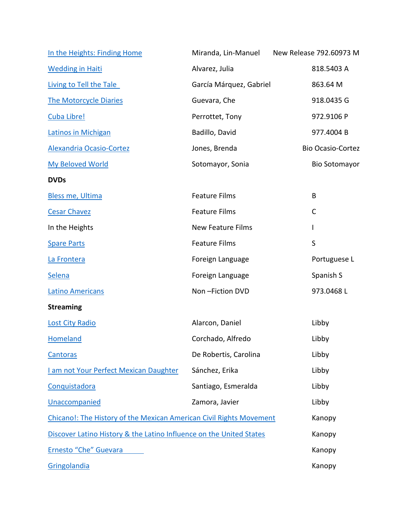| In the Heights: Finding Home                                        | Miranda, Lin-Manuel      | New Release 792.60973 M  |
|---------------------------------------------------------------------|--------------------------|--------------------------|
| <b>Wedding in Haiti</b>                                             | Alvarez, Julia           | 818.5403 A               |
| Living to Tell the Tale                                             | García Márquez, Gabriel  | 863.64 M                 |
| <b>The Motorcycle Diaries</b>                                       | Guevara, Che             | 918.0435 G               |
| Cuba Libre!                                                         | Perrottet, Tony          | 972.9106 P               |
| <b>Latinos in Michigan</b>                                          | Badillo, David           | 977.4004B                |
| <b>Alexandria Ocasio-Cortez</b>                                     | Jones, Brenda            | <b>Bio Ocasio-Cortez</b> |
| <b>My Beloved World</b>                                             | Sotomayor, Sonia         | <b>Bio Sotomayor</b>     |
| <b>DVDs</b>                                                         |                          |                          |
| Bless me, Ultima                                                    | <b>Feature Films</b>     | B                        |
| <b>Cesar Chavez</b>                                                 | <b>Feature Films</b>     | $\mathsf{C}$             |
| In the Heights                                                      | <b>New Feature Films</b> | L                        |
| <b>Spare Parts</b>                                                  | <b>Feature Films</b>     | $\sf S$                  |
| La Frontera                                                         | Foreign Language         | Portuguese L             |
| <b>Selena</b>                                                       | Foreign Language         | Spanish S                |
| <b>Latino Americans</b>                                             | Non-Fiction DVD          | 973.0468L                |
| <b>Streaming</b>                                                    |                          |                          |
| <b>Lost City Radio</b>                                              | Alarcon, Daniel          | Libby                    |
| Homeland                                                            | Corchado, Alfredo        | Libby                    |
| <b>Cantoras</b>                                                     | De Robertis, Carolina    | Libby                    |
| I am not Your Perfect Mexican Daughter                              | Sánchez, Erika           | Libby                    |
| Conquistadora                                                       | Santiago, Esmeralda      | Libby                    |
| Unaccompanied                                                       | Zamora, Javier           | Libby                    |
| Chicano!: The History of the Mexican American Civil Rights Movement |                          | Kanopy                   |
| Discover Latino History & the Latino Influence on the United States |                          | Kanopy                   |
| Ernesto "Che" Guevara                                               |                          | Kanopy                   |
| Gringolandia                                                        |                          | Kanopy                   |